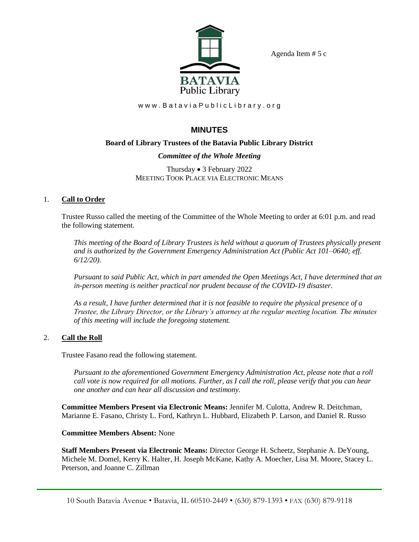Agenda Item # 5 c



www.BataviaPublicLibrary.org

# **MINUTES**

## **Board of Library Trustees of the Batavia Public Library District**

## *Committee of the Whole Meeting*

Thursday • 3 February 2022 MEETING TOOK PLACE VIA ELECTRONIC MEANS

## 1. **Call to Order**

Trustee Russo called the meeting of the Committee of the Whole Meeting to order at 6:01 p.m. and read the following statement.

*This meeting of the Board of Library Trustees is held without a quorum of Trustees physically present and is authorized by the Government Emergency Administration Act (Public Act 101–0640; eff. 6/12/20).*

*Pursuant to said Public Act, which in part amended the Open Meetings Act, I have determined that an in-person meeting is neither practical nor prudent because of the COVID-19 disaster.*

*As a result, I have further determined that it is not feasible to require the physical presence of a Trustee, the Library Director, or the Library's attorney at the regular meeting location. The minutes of this meeting will include the foregoing statement.*

## 2. **Call the Roll**

Trustee Fasano read the following statement.

*Pursuant to the aforementioned Government Emergency Administration Act, please note that a roll call vote is now required for all motions. Further, as I call the roll, please verify that you can hear one another and can hear all discussion and testimony.*

**Committee Members Present via Electronic Means:** Jennifer M. Culotta, Andrew R. Deitchman, Marianne E. Fasano, Christy L. Ford, Kathryn L. Hubbard, Elizabeth P. Larson, and Daniel R. Russo

## **Committee Members Absent:** None

**Staff Members Present via Electronic Means:** Director George H. Scheetz, Stephanie A. DeYoung, Michele M. Domel, Kerry K. Halter, H. Joseph McKane, Kathy A. Moecher, Lisa M. Moore, Stacey L. Peterson, and Joanne C. Zillman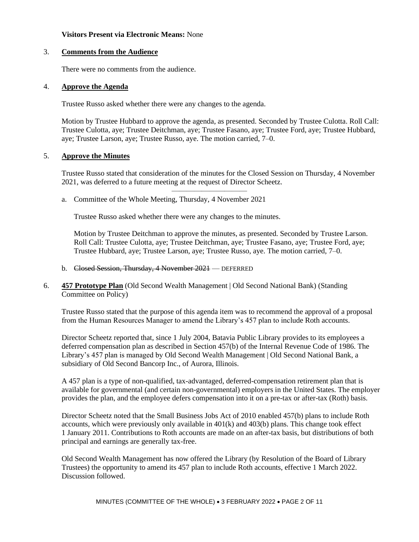#### **Visitors Present via Electronic Means:** None

#### 3. **Comments from the Audience**

There were no comments from the audience.

#### 4. **Approve the Agenda**

Trustee Russo asked whether there were any changes to the agenda.

Motion by Trustee Hubbard to approve the agenda, as presented. Seconded by Trustee Culotta. Roll Call: Trustee Culotta, aye; Trustee Deitchman, aye; Trustee Fasano, aye; Trustee Ford, aye; Trustee Hubbard, aye; Trustee Larson, aye; Trustee Russo, aye. The motion carried, 7–0.

#### 5. **Approve the Minutes**

Trustee Russo stated that consideration of the minutes for the Closed Session on Thursday, 4 November 2021, was deferred to a future meeting at the request of Director Scheetz.

——————————

a. Committee of the Whole Meeting, Thursday, 4 November 2021

Trustee Russo asked whether there were any changes to the minutes.

Motion by Trustee Deitchman to approve the minutes, as presented. Seconded by Trustee Larson. Roll Call: Trustee Culotta, aye; Trustee Deitchman, aye; Trustee Fasano, aye; Trustee Ford, aye; Trustee Hubbard, aye; Trustee Larson, aye; Trustee Russo, aye. The motion carried, 7–0.

- b. Closed Session, Thursday, 4 November 2021 DEFERRED
- 6. **457 Prototype Plan** (Old Second Wealth Management | Old Second National Bank) (Standing Committee on Policy)

Trustee Russo stated that the purpose of this agenda item was to recommend the approval of a proposal from the Human Resources Manager to amend the Library's 457 plan to include Roth accounts.

Director Scheetz reported that, since 1 July 2004, Batavia Public Library provides to its employees a deferred compensation plan as described in Section 457(b) of the Internal Revenue Code of 1986. The Library's 457 plan is managed by Old Second Wealth Management | Old Second National Bank, a subsidiary of Old Second Bancorp Inc., of Aurora, Illinois.

A 457 plan is a type of non-qualified, tax-advantaged, deferred-compensation retirement plan that is available for governmental (and certain non-governmental) employers in the United States. The employer provides the plan, and the employee defers compensation into it on a pre-tax or after-tax (Roth) basis.

Director Scheetz noted that the Small Business Jobs Act of 2010 enabled 457(b) plans to include Roth accounts, which were previously only available in 401(k) and 403(b) plans. This change took effect 1 January 2011. Contributions to Roth accounts are made on an after-tax basis, but distributions of both principal and earnings are generally tax-free.

Old Second Wealth Management has now offered the Library (by Resolution of the Board of Library Trustees) the opportunity to amend its 457 plan to include Roth accounts, effective 1 March 2022. Discussion followed.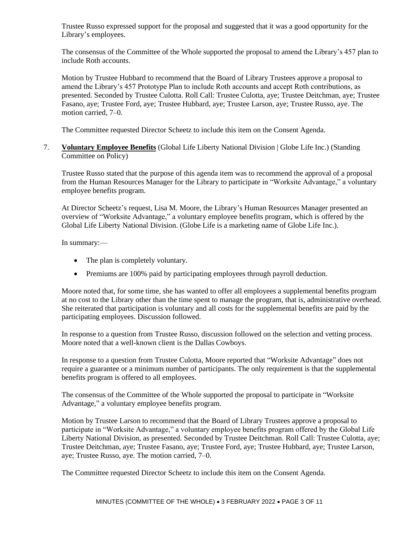Trustee Russo expressed support for the proposal and suggested that it was a good opportunity for the Library's employees.

The consensus of the Committee of the Whole supported the proposal to amend the Library's 457 plan to include Roth accounts.

Motion by Trustee Hubbard to recommend that the Board of Library Trustees approve a proposal to amend the Library's 457 Prototype Plan to include Roth accounts and accept Roth contributions, as presented. Seconded by Trustee Culotta. Roll Call: Trustee Culotta, aye; Trustee Deitchman, aye; Trustee Fasano, aye; Trustee Ford, aye; Trustee Hubbard, aye; Trustee Larson, aye; Trustee Russo, aye. The motion carried, 7–0.

The Committee requested Director Scheetz to include this item on the Consent Agenda.

7. **Voluntary Employee Benefits** (Global Life Liberty National Division | Globe Life Inc.) (Standing Committee on Policy)

Trustee Russo stated that the purpose of this agenda item was to recommend the approval of a proposal from the Human Resources Manager for the Library to participate in "Worksite Advantage," a voluntary employee benefits program.

At Director Scheetz's request, Lisa M. Moore, the Library's Human Resources Manager presented an overview of "Worksite Advantage," a voluntary employee benefits program, which is offered by the Global Life Liberty National Division. (Globe Life is a marketing name of Globe Life Inc.).

In summary:—

- The plan is completely voluntary.
- Premiums are 100% paid by participating employees through payroll deduction.

Moore noted that, for some time, she has wanted to offer all employees a supplemental benefits program at no cost to the Library other than the time spent to manage the program, that is, administrative overhead. She reiterated that participation is voluntary and all costs for the supplemental benefits are paid by the participating employees. Discussion followed.

In response to a question from Trustee Russo, discussion followed on the selection and vetting process. Moore noted that a well-known client is the Dallas Cowboys.

In response to a question from Trustee Culotta, Moore reported that "Worksite Advantage" does not require a guarantee or a minimum number of participants. The only requirement is that the supplemental benefits program is offered to all employees.

The consensus of the Committee of the Whole supported the proposal to participate in "Worksite Advantage," a voluntary employee benefits program.

Motion by Trustee Larson to recommend that the Board of Library Trustees approve a proposal to participate in "Worksite Advantage," a voluntary employee benefits program offered by the Global Life Liberty National Division, as presented. Seconded by Trustee Deitchman. Roll Call: Trustee Culotta, aye; Trustee Deitchman, aye; Trustee Fasano, aye; Trustee Ford, aye; Trustee Hubbard, aye; Trustee Larson, aye; Trustee Russo, aye. The motion carried, 7–0.

The Committee requested Director Scheetz to include this item on the Consent Agenda.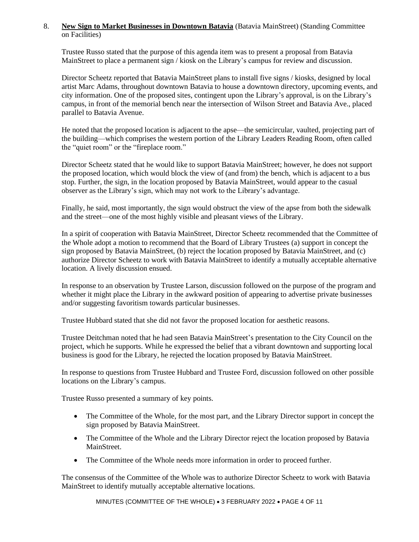#### 8. **New Sign to Market Businesses in Downtown Batavia** (Batavia MainStreet) (Standing Committee on Facilities)

Trustee Russo stated that the purpose of this agenda item was to present a proposal from Batavia MainStreet to place a permanent sign / kiosk on the Library's campus for review and discussion.

Director Scheetz reported that Batavia MainStreet plans to install five signs / kiosks, designed by local artist Marc Adams, throughout downtown Batavia to house a downtown directory, upcoming events, and city information. One of the proposed sites, contingent upon the Library's approval, is on the Library's campus, in front of the memorial bench near the intersection of Wilson Street and Batavia Ave., placed parallel to Batavia Avenue.

He noted that the proposed location is adjacent to the apse—the semicircular, vaulted, projecting part of the building—which comprises the western portion of the Library Leaders Reading Room, often called the "quiet room" or the "fireplace room."

Director Scheetz stated that he would like to support Batavia MainStreet; however, he does not support the proposed location, which would block the view of (and from) the bench, which is adjacent to a bus stop. Further, the sign, in the location proposed by Batavia MainStreet, would appear to the casual observer as the Library's sign, which may not work to the Library's advantage.

Finally, he said, most importantly, the sign would obstruct the view of the apse from both the sidewalk and the street—one of the most highly visible and pleasant views of the Library.

In a spirit of cooperation with Batavia MainStreet, Director Scheetz recommended that the Committee of the Whole adopt a motion to recommend that the Board of Library Trustees (a) support in concept the sign proposed by Batavia MainStreet, (b) reject the location proposed by Batavia MainStreet, and (c) authorize Director Scheetz to work with Batavia MainStreet to identify a mutually acceptable alternative location. A lively discussion ensued.

In response to an observation by Trustee Larson, discussion followed on the purpose of the program and whether it might place the Library in the awkward position of appearing to advertise private businesses and/or suggesting favoritism towards particular businesses.

Trustee Hubbard stated that she did not favor the proposed location for aesthetic reasons.

Trustee Deitchman noted that he had seen Batavia MainStreet's presentation to the City Council on the project, which he supports. While he expressed the belief that a vibrant downtown and supporting local business is good for the Library, he rejected the location proposed by Batavia MainStreet.

In response to questions from Trustee Hubbard and Trustee Ford, discussion followed on other possible locations on the Library's campus.

Trustee Russo presented a summary of key points.

- The Committee of the Whole, for the most part, and the Library Director support in concept the sign proposed by Batavia MainStreet.
- The Committee of the Whole and the Library Director reject the location proposed by Batavia **MainStreet**
- The Committee of the Whole needs more information in order to proceed further.

The consensus of the Committee of the Whole was to authorize Director Scheetz to work with Batavia MainStreet to identify mutually acceptable alternative locations.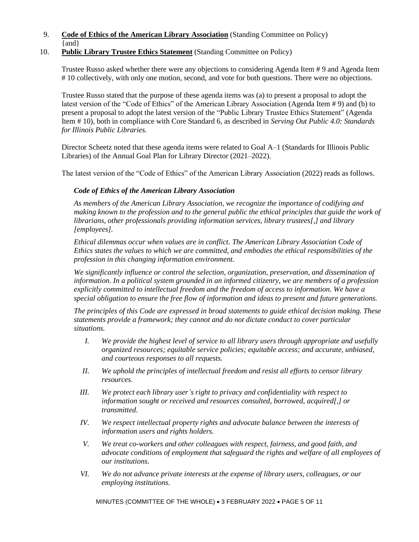9. **Code of Ethics of the American Library Association** (Standing Committee on Policy) {and}

## 10. **Public Library Trustee Ethics Statement** (Standing Committee on Policy)

Trustee Russo asked whether there were any objections to considering Agenda Item # 9 and Agenda Item # 10 collectively, with only one motion, second, and vote for both questions. There were no objections.

Trustee Russo stated that the purpose of these agenda items was (a) to present a proposal to adopt the latest version of the "Code of Ethics" of the American Library Association (Agenda Item # 9) and (b) to present a proposal to adopt the latest version of the "Public Library Trustee Ethics Statement" (Agenda Item # 10), both in compliance with Core Standard 6, as described in *Serving Out Public 4.0: Standards for Illinois Public Libraries.*

Director Scheetz noted that these agenda items were related to Goal A–1 (Standards for Illinois Public Libraries) of the Annual Goal Plan for Library Director (2021–2022).

The latest version of the "Code of Ethics" of the American Library Association (2022) reads as follows.

## *Code of Ethics of the American Library Association*

*As members of the American Library Association, we recognize the importance of codifying and making known to the profession and to the general public the ethical principles that guide the work of librarians, other professionals providing information services, library trustees[,] and library [employees].*

*Ethical dilemmas occur when values are in conflict. The American Library Association Code of Ethics states the values to which we are committed, and embodies the ethical responsibilities of the profession in this changing information environment.*

*We significantly influence or control the selection, organization, preservation, and dissemination of information. In a political system grounded in an informed citizenry, we are members of a profession explicitly committed to intellectual freedom and the freedom of access to information. We have a special obligation to ensure the free flow of information and ideas to present and future generations.*

*The principles of this Code are expressed in broad statements to guide ethical decision making. These statements provide a framework; they cannot and do not dictate conduct to cover particular situations.*

- *I. We provide the highest level of service to all library users through appropriate and usefully organized resources; equitable service policies; equitable access; and accurate, unbiased, and courteous responses to all requests.*
- *II. We uphold the principles of intellectual freedom and resist all efforts to censor library resources.*
- *III. We protect each library user's right to privacy and confidentiality with respect to information sought or received and resources consulted, borrowed, acquired[,] or transmitted.*
- *IV. We respect intellectual property rights and advocate balance between the interests of information users and rights holders.*
- *V. We treat co-workers and other colleagues with respect, fairness, and good faith, and advocate conditions of employment that safeguard the rights and welfare of all employees of our institutions.*
- *VI. We do not advance private interests at the expense of library users, colleagues, or our employing institutions.*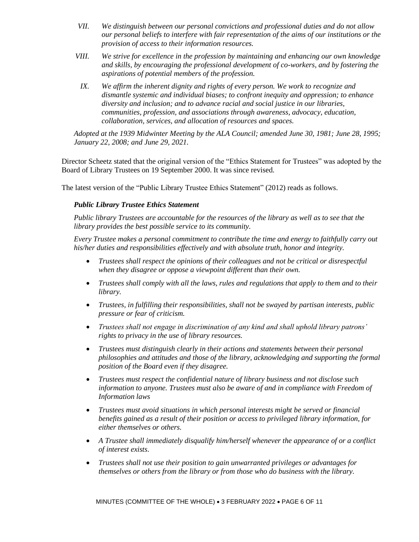- *VII. We distinguish between our personal convictions and professional duties and do not allow our personal beliefs to interfere with fair representation of the aims of our institutions or the provision of access to their information resources.*
- *VIII. We strive for excellence in the profession by maintaining and enhancing our own knowledge and skills, by encouraging the professional development of co-workers, and by fostering the aspirations of potential members of the profession.*
- *IX. We affirm the inherent dignity and rights of every person. We work to recognize and dismantle systemic and individual biases; to confront inequity and oppression; to enhance diversity and inclusion; and to advance racial and social justice in our libraries, communities, profession, and associations through awareness, advocacy, education, collaboration, services, and allocation of resources and spaces.*

*Adopted at the 1939 Midwinter Meeting by the ALA Council; amended June 30, 1981; June 28, 1995; January 22, 2008; and June 29, 2021.*

Director Scheetz stated that the original version of the "Ethics Statement for Trustees" was adopted by the Board of Library Trustees on 19 September 2000. It was since revised.

The latest version of the "Public Library Trustee Ethics Statement" (2012) reads as follows.

#### *Public Library Trustee Ethics Statement*

*Public library Trustees are accountable for the resources of the library as well as to see that the library provides the best possible service to its community.*

*Every Trustee makes a personal commitment to contribute the time and energy to faithfully carry out his/her duties and responsibilities effectively and with absolute truth, honor and integrity.*

- *Trustees shall respect the opinions of their colleagues and not be critical or disrespectful when they disagree or oppose a viewpoint different than their own.*
- *Trustees shall comply with all the laws, rules and regulations that apply to them and to their library.*
- *Trustees, in fulfilling their responsibilities, shall not be swayed by partisan interests, public pressure or fear of criticism.*
- *Trustees shall not engage in discrimination of any kind and shall uphold library patrons' rights to privacy in the use of library resources.*
- *Trustees must distinguish clearly in their actions and statements between their personal philosophies and attitudes and those of the library, acknowledging and supporting the formal position of the Board even if they disagree.*
- *Trustees must respect the confidential nature of library business and not disclose such information to anyone. Trustees must also be aware of and in compliance with Freedom of Information laws*
- *Trustees must avoid situations in which personal interests might be served or financial benefits gained as a result of their position or access to privileged library information, for either themselves or others.*
- *A Trustee shall immediately disqualify him/herself whenever the appearance of or a conflict of interest exists.*
- *Trustees shall not use their position to gain unwarranted privileges or advantages for themselves or others from the library or from those who do business with the library.*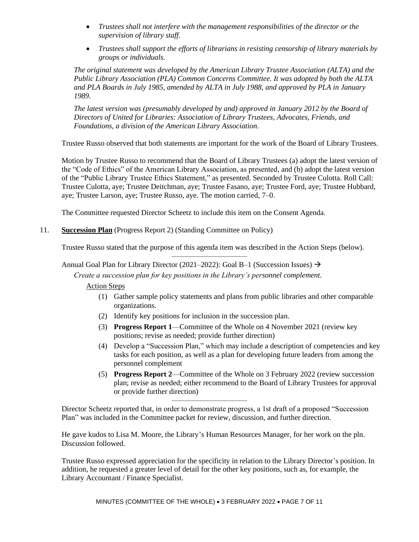- *Trustees shall not interfere with the management responsibilities of the director or the supervision of library staff.*
- *Trustees shall support the efforts of librarians in resisting censorship of library materials by groups or individuals.*

*The original statement was developed by the American Library Trustee Association (ALTA) and the Public Library Association (PLA) Common Concerns Committee. It was adopted by both the ALTA and PLA Boards in July 1985, amended by ALTA in July 1988, and approved by PLA in January 1989.*

*The latest version was (presumably developed by and) approved in January 2012 by the Board of Directors of United for Libraries: Association of Library Trustees, Advocates, Friends, and Foundations, a division of the American Library Association.*

Trustee Russo observed that both statements are important for the work of the Board of Library Trustees.

Motion by Trustee Russo to recommend that the Board of Library Trustees (a) adopt the latest version of the "Code of Ethics" of the American Library Association, as presented, and (b) adopt the latest version of the "Public Library Trustee Ethics Statement," as presented. Seconded by Trustee Culotta. Roll Call: Trustee Culotta, aye; Trustee Deitchman, aye; Trustee Fasano, aye; Trustee Ford, aye; Trustee Hubbard, aye; Trustee Larson, aye; Trustee Russo, aye. The motion carried, 7–0.

The Committee requested Director Scheetz to include this item on the Consent Agenda.

## 11. **Succession Plan** (Progress Report 2) (Standing Committee on Policy)

Trustee Russo stated that the purpose of this agenda item was described in the Action Steps (below). ——————————

#### Annual Goal Plan for Library Director (2021–2022): Goal B–1 (Succession Issues)  $\rightarrow$

*Create a succession plan for key positions in the Library's personnel complement.*

Action Steps

- (1) Gather sample policy statements and plans from public libraries and other comparable organizations.
- (2) Identify key positions for inclusion in the succession plan.
- (3) **Progress Report 1**—Committee of the Whole on 4 November 2021 (review key positions; revise as needed; provide further direction)
- (4) Develop a "Succession Plan," which may include a description of competencies and key tasks for each position, as well as a plan for developing future leaders from among the personnel complement
- (5) **Progress Report 2**—Committee of the Whole on 3 February 2022 (review succession plan; revise as needed; either recommend to the Board of Library Trustees for approval or provide further direction)

Director Scheetz reported that, in order to demonstrate progress, a 1st draft of a proposed "Succession Plan" was included in the Committee packet for review, discussion, and further direction.

——————————

He gave kudos to Lisa M. Moore, the Library's Human Resources Manager, for her work on the pln. Discussion followed.

Trustee Russo expressed appreciation for the specificity in relation to the Library Director's position. In addition, he requested a greater level of detail for the other key positions, such as, for example, the Library Accountant / Finance Specialist.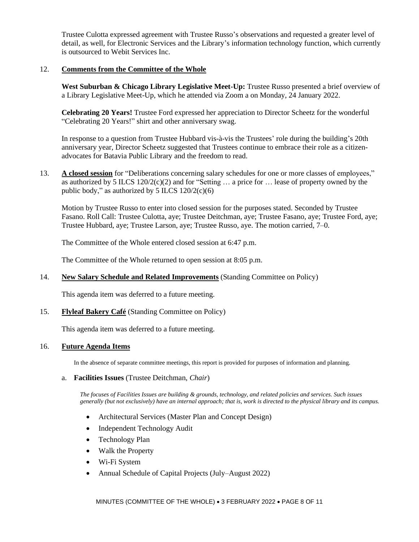Trustee Culotta expressed agreement with Trustee Russo's observations and requested a greater level of detail, as well, for Electronic Services and the Library's information technology function, which currently is outsourced to Webit Services Inc.

## 12. **Comments from the Committee of the Whole**

West Suburban & Chicago Library Legislative Meet-Up: Trustee Russo presented a brief overview of a Library Legislative Meet-Up, which he attended via Zoom a on Monday, 24 January 2022.

**Celebrating 20 Years!** Trustee Ford expressed her appreciation to Director Scheetz for the wonderful "Celebrating 20 Years!" shirt and other anniversary swag.

In response to a question from Trustee Hubbard vis-à-vis the Trustees' role during the building's 20th anniversary year, Director Scheetz suggested that Trustees continue to embrace their role as a citizenadvocates for Batavia Public Library and the freedom to read.

13. **A closed session** for "Deliberations concerning salary schedules for one or more classes of employees," as authorized by 5 ILCS  $120/2(c)(2)$  and for "Setting ... a price for ... lease of property owned by the public body," as authorized by 5 ILCS  $120/2(c)(6)$ 

Motion by Trustee Russo to enter into closed session for the purposes stated. Seconded by Trustee Fasano. Roll Call: Trustee Culotta, aye; Trustee Deitchman, aye; Trustee Fasano, aye; Trustee Ford, aye; Trustee Hubbard, aye; Trustee Larson, aye; Trustee Russo, aye. The motion carried, 7–0.

The Committee of the Whole entered closed session at 6:47 p.m.

The Committee of the Whole returned to open session at 8:05 p.m.

14. **New Salary Schedule and Related Improvements** (Standing Committee on Policy)

This agenda item was deferred to a future meeting.

15. **Flyleaf Bakery Café** (Standing Committee on Policy)

This agenda item was deferred to a future meeting.

#### 16. **Future Agenda Items**

In the absence of separate committee meetings, this report is provided for purposes of information and planning.

#### a. **Facilities Issues** (Trustee Deitchman, *Chair*)

*The focuses of Facilities Issues are building & grounds, technology, and related policies and services. Such issues generally (but not exclusively) have an internal approach; that is, work is directed to the physical library and its campus.*

- Architectural Services (Master Plan and Concept Design)
- Independent Technology Audit
- Technology Plan
- Walk the Property
- Wi-Fi System
- Annual Schedule of Capital Projects (July–August 2022)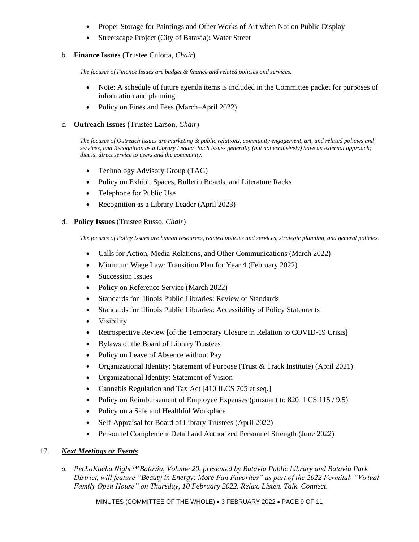- Proper Storage for Paintings and Other Works of Art when Not on Public Display
- Streetscape Project (City of Batavia): Water Street

## b. **Finance Issues** (Trustee Culotta, *Chair*)

*The focuses of Finance Issues are budget & finance and related policies and services.*

- Note: A schedule of future agenda items is included in the Committee packet for purposes of information and planning.
- Policy on Fines and Fees (March–April 2022)
- c. **Outreach Issues** (Trustee Larson, *Chair*)

*The focuses of Outreach Issues are marketing & public relations, community engagement, art, and related policies and services, and Recognition as a Library Leader. Such issues generally (but not exclusively) have an external approach; that is, direct service to users and the community.*

- Technology Advisory Group (TAG)
- Policy on Exhibit Spaces, Bulletin Boards, and Literature Racks
- Telephone for Public Use
- Recognition as a Library Leader (April 2023)

#### d. **Policy Issues** (Trustee Russo, *Chair*)

*The focuses of Policy Issues are human resources, related policies and services, strategic planning, and general policies.*

- Calls for Action, Media Relations, and Other Communications (March 2022)
- Minimum Wage Law: Transition Plan for Year 4 (February 2022)
- Succession Issues
- Policy on Reference Service (March 2022)
- Standards for Illinois Public Libraries: Review of Standards
- Standards for Illinois Public Libraries: Accessibility of Policy Statements
- Visibility
- Retrospective Review [of the Temporary Closure in Relation to COVID-19 Crisis]
- Bylaws of the Board of Library Trustees
- Policy on Leave of Absence without Pay
- Organizational Identity: Statement of Purpose (Trust & Track Institute) (April 2021)
- Organizational Identity: Statement of Vision
- Cannabis Regulation and Tax Act [410 ILCS 705 et seq.]
- Policy on Reimbursement of Employee Expenses (pursuant to 820 ILCS 115/9.5)
- Policy on a Safe and Healthful Workplace
- Self-Appraisal for Board of Library Trustees (April 2022)
- Personnel Complement Detail and Authorized Personnel Strength (June 2022)

## 17. *Next Meetings or Events*

*a. PechaKucha Night Batavia, Volume 20, presented by Batavia Public Library and Batavia Park District, will feature "Beauty in Energy: More Fan Favorites" as part of the 2022 Fermilab "Virtual Family Open House" on Thursday, 10 February 2022. Relax. Listen. Talk. Connect.*

MINUTES (COMMITTEE OF THE WHOLE) • 3 FEBRUARY 2022 • PAGE 9 OF 11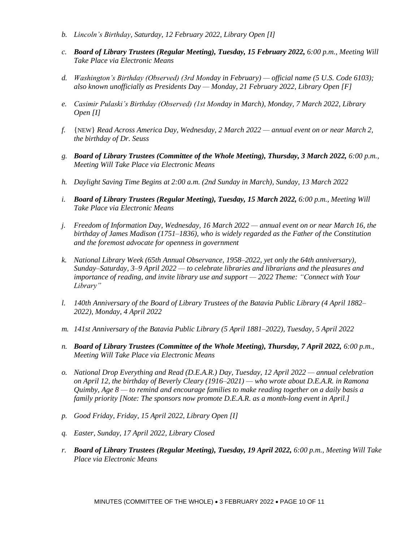- *b. Lincoln's Birthday, Saturday, 12 February 2022, Library Open [I]*
- *c. Board of Library Trustees (Regular Meeting), Tuesday, 15 February 2022, 6:00 p.m., Meeting Will Take Place via Electronic Means*
- *d. Washington's Birthday (Observed) (3rd Monday in February) — official name (5 U.S. Code 6103); also known unofficially as Presidents Day — Monday, 21 February 2022, Library Open [F]*
- *e. Casimir Pulaski's Birthday (Observed) (1st Monday in March), Monday, 7 March 2022, Library Open [I]*
- *f.* {NEW} *Read Across America Day, Wednesday, 2 March 2022 — annual event on or near March 2, the birthday of Dr. Seuss*
- *g. Board of Library Trustees (Committee of the Whole Meeting), Thursday, 3 March 2022, 6:00 p.m., Meeting Will Take Place via Electronic Means*
- *h. Daylight Saving Time Begins at 2:00 a.m. (2nd Sunday in March), Sunday, 13 March 2022*
- *i. Board of Library Trustees (Regular Meeting), Tuesday, 15 March 2022, 6:00 p.m., Meeting Will Take Place via Electronic Means*
- *j. Freedom of Information Day, Wednesday, 16 March 2022 — annual event on or near March 16, the birthday of James Madison (1751–1836), who is widely regarded as the Father of the Constitution and the foremost advocate for openness in government*
- *k. National Library Week (65th Annual Observance, 1958–2022, yet only the 64th anniversary), Sunday–Saturday, 3–9 April 2022 — to celebrate libraries and librarians and the pleasures and importance of reading, and invite library use and support — 2022 Theme: "Connect with Your Library"*
- *l. 140th Anniversary of the Board of Library Trustees of the Batavia Public Library (4 April 1882– 2022), Monday, 4 April 2022*
- *m. 141st Anniversary of the Batavia Public Library (5 April 1881–2022), Tuesday, 5 April 2022*
- *n. Board of Library Trustees (Committee of the Whole Meeting), Thursday, 7 April 2022, 6:00 p.m., Meeting Will Take Place via Electronic Means*
- *o. National Drop Everything and Read (D.E.A.R.) Day, Tuesday, 12 April 2022 — annual celebration on April 12, the birthday of Beverly Cleary (1916–2021) — who wrote about D.E.A.R. in Ramona Quimby, Age 8 — to remind and encourage families to make reading together on a daily basis a family priority [Note: The sponsors now promote D.E.A.R. as a month-long event in April.]*
- *p. Good Friday, Friday, 15 April 2022, Library Open [I]*
- *q. Easter, Sunday, 17 April 2022, Library Closed*
- *r. Board of Library Trustees (Regular Meeting), Tuesday, 19 April 2022, 6:00 p.m., Meeting Will Take Place via Electronic Means*